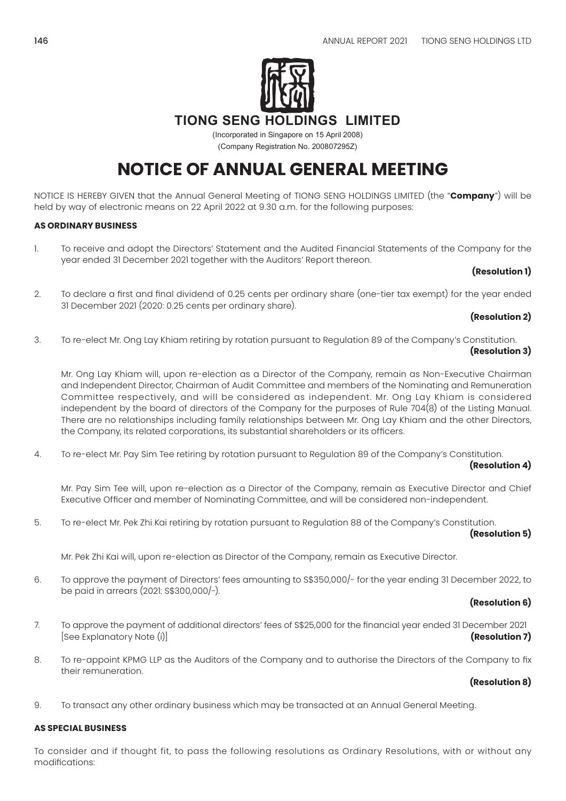

**TIONG SENG HOLDINGS LIMITED**

(Incorporated in Singapore on 15 April 2008) (Company Registration No. 200807295Z)

## **NOTICE OF ANNUAL GENERAL MEETING**

NOTICE IS HEREBY GIVEN that the Annual General Meeting of TIONG SENG HOLDINGS LIMITED (the "**Company**") will be held by way of electronic means on 22 April 2022 at 9.30 a.m. for the following purposes:

## **AS ORDINARY BUSINESS**

1. To receive and adopt the Directors' Statement and the Audited Financial Statements of the Company for the year ended 31 December 2021 together with the Auditors' Report thereon.

## **(Resolution 1)**

2. To declare a first and final dividend of 0.25 cents per ordinary share (one-tier tax exempt) for the year ended **MANDATE**31 December 2021 (2020: 0.25 cents per ordinary share).

## **(Resolution 2)**

3. To re-elect Mr. Ong Lay Khiam retiring by rotation pursuant to Regulation 89 of the Company's Constitution.

#### **(Resolution 3)**

Mr. Ong Lay Khiam will, upon re-election as a Director of the Company, remain as Non-Executive Chairman and Independent Director, Chairman of Audit Committee and members of the Nominating and Remuneration Committee respectively, and will be considered as independent. Mr. Ong Lay Khiam is considered independent by the board of directors of the Company for the purposes of Rule 704(8) of the Listing Manual. There are no relationships including family relationships between Mr. Ong Lay Khiam and the other Directors, the Company, its related corporations, its substantial shareholders or its officers.

4. To re-elect Mr. Pay Sim Tee retiring by rotation pursuant to Regulation 89 of the Company's Constitution.

#### **(Resolution 4)**

Mr. Pay Sim Tee will, upon re-election as a Director of the Company, remain as Executive Director and Chief Executive Officer and member of Nominating Committee, and will be considered non-independent.

5. To re-elect Mr. Pek Zhi Kai retiring by rotation pursuant to Regulation 88 of the Company's Constitution.

#### **(Resolution 5)**

Mr. Pek Zhi Kai will, upon re-election as Director of the Company, remain as Executive Director.

6. To approve the payment of Directors' fees amounting to S\$350,000/- for the year ending 31 December 2022, to be paid in arrears (2021: S\$300,000/-).

## **(Resolution 6)**

- 7. To approve the payment of additional directors' fees of S\$25,000 for the financial year ended 31 December 2021 [See Explanatory Note (i)] **(Resolution 7)**
- 8. To re-appoint KPMG LLP as the Auditors of the Company and to authorise the Directors of the Company to fix their remuneration.

## **(Resolution 8)**

9. To transact any other ordinary business which may be transacted at an Annual General Meeting.

#### **AS SPECIAL BUSINESS**

To consider and if thought fit, to pass the following resolutions as Ordinary Resolutions, with or without any modifications: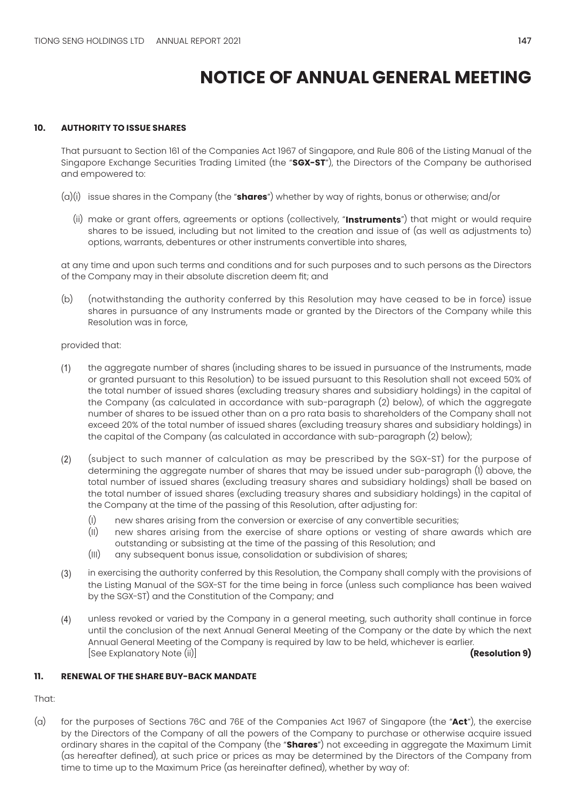#### **10. AUTHORITY TO ISSUE SHARES**

That pursuant to Section 161 of the Companies Act 1967 of Singapore, and Rule 806 of the Listing Manual of the Singapore Exchange Securities Trading Limited (the "**SGX-ST**"), the Directors of the Company be authorised and empowered to:

- (a)(i) issue shares in the Company (the "**shares**") whether by way of rights, bonus or otherwise; and/or
	- (ii) make or grant offers, agreements or options (collectively, "**Instruments**") that might or would require shares to be issued, including but not limited to the creation and issue of (as well as adjustments to) options, warrants, debentures or other instruments convertible into shares,

at any time and upon such terms and conditions and for such purposes and to such persons as the Directors of the Company may in their absolute discretion deem fit; and

(b) (notwithstanding the authority conferred by this Resolution may have ceased to be in force) issue shares in pursuance of any Instruments made or granted by the Directors of the Company while this Resolution was in force,

#### provided that:

- (1) the aggregate number of shares (including shares to be issued in pursuance of the Instruments, made or granted pursuant to this Resolution) to be issued pursuant to this Resolution shall not exceed 50% of the total number of issued shares (excluding treasury shares and subsidiary holdings) in the capital of the Company (as calculated in accordance with sub-paragraph (2) below), of which the aggregate number of shares to be issued other than on a pro rata basis to shareholders of the Company shall not exceed 20% of the total number of issued shares (excluding treasury shares and subsidiary holdings) in the capital of the Company (as calculated in accordance with sub-paragraph (2) below);
- (2) (subject to such manner of calculation as may be prescribed by the SGX-ST) for the purpose of determining the aggregate number of shares that may be issued under sub-paragraph (1) above, the total number of issued shares (excluding treasury shares and subsidiary holdings) shall be based on the total number of issued shares (excluding treasury shares and subsidiary holdings) in the capital of the Company at the time of the passing of this Resolution, after adjusting for:
	- (I) new shares arising from the conversion or exercise of any convertible securities;<br>(II) new shares arising from the exercise of share options or vesting of share av
	- new shares arising from the exercise of share options or vesting of share awards which are outstanding or subsisting at the time of the passing of this Resolution; and
	- (III) any subsequent bonus issue, consolidation or subdivision of shares;
- (3) in exercising the authority conferred by this Resolution, the Company shall comply with the provisions of the Listing Manual of the SGX-ST for the time being in force (unless such compliance has been waived by the SGX-ST) and the Constitution of the Company; and
- (4) unless revoked or varied by the Company in a general meeting, such authority shall continue in force until the conclusion of the next Annual General Meeting of the Company or the date by which the next Annual General Meeting of the Company is required by law to be held, whichever is earlier.<br>[**Resolution 9]** (Resolution)  $[See$  Explanatory Note (ii)

#### **11. RENEWAL OF THE SHARE BUY-BACK MANDATE**

That:

(a) for the purposes of Sections 76C and 76E of the Companies Act 1967 of Singapore (the "**Act**"), the exercise by the Directors of the Company of all the powers of the Company to purchase or otherwise acquire issued ordinary shares in the capital of the Company (the "**Shares**") not exceeding in aggregate the Maximum Limit (as hereafter defined), at such price or prices as may be determined by the Directors of the Company from time to time up to the Maximum Price (as hereinafter defined), whether by way of: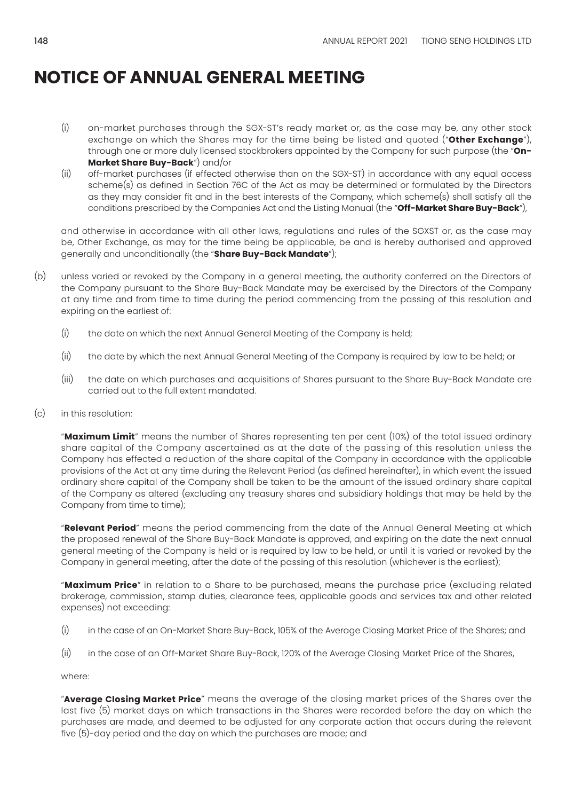- (i) on-market purchases through the SGX-ST's ready market or, as the case may be, any other stock exchange on which the Shares may for the time being be listed and quoted ("**Other Exchange**"), through one or more duly licensed stockbrokers appointed by the Company for such purpose (the "**On-Market Share Buy-Back**") and/or
- (ii) off-market purchases (if effected otherwise than on the SGX-ST) in accordance with any equal access scheme(s) as defined in Section 76C of the Act as may be determined or formulated by the Directors as they may consider fit and in the best interests of the Company, which scheme(s) shall satisfy all the conditions prescribed by the Companies Act and the Listing Manual (the "**Off-Market Share Buy-Back**"),

and otherwise in accordance with all other laws, regulations and rules of the SGXST or, as the case may be, Other Exchange, as may for the time being be applicable, be and is hereby authorised and approved generally and unconditionally (the "**Share Buy-Back Mandate**");

- (b) unless varied or revoked by the Company in a general meeting, the authority conferred on the Directors of the Company pursuant to the Share Buy-Back Mandate may be exercised by the Directors of the Company at any time and from time to time during the period commencing from the passing of this resolution and expiring on the earliest of:
	- (i) the date on which the next Annual General Meeting of the Company is held;
	- (ii) the date by which the next Annual General Meeting of the Company is required by law to be held; or
	- (iii) the date on which purchases and acquisitions of Shares pursuant to the Share Buy-Back Mandate are carried out to the full extent mandated.
- (c) in this resolution:

"**Maximum Limit**" means the number of Shares representing ten per cent (10%) of the total issued ordinary share capital of the Company ascertained as at the date of the passing of this resolution unless the Company has effected a reduction of the share capital of the Company in accordance with the applicable provisions of the Act at any time during the Relevant Period (as defined hereinafter), in which event the issued ordinary share capital of the Company shall be taken to be the amount of the issued ordinary share capital of the Company as altered (excluding any treasury shares and subsidiary holdings that may be held by the Company from time to time);

"**Relevant Period**" means the period commencing from the date of the Annual General Meeting at which the proposed renewal of the Share Buy-Back Mandate is approved, and expiring on the date the next annual general meeting of the Company is held or is required by law to be held, or until it is varied or revoked by the Company in general meeting, after the date of the passing of this resolution (whichever is the earliest);

"**Maximum Price**" in relation to a Share to be purchased, means the purchase price (excluding related brokerage, commission, stamp duties, clearance fees, applicable goods and services tax and other related expenses) not exceeding:

- (i) in the case of an On-Market Share Buy-Back, 105% of the Average Closing Market Price of the Shares; and
- (ii) in the case of an Off-Market Share Buy-Back, 120% of the Average Closing Market Price of the Shares,

where:

"**Average Closing Market Price**" means the average of the closing market prices of the Shares over the last five (5) market days on which transactions in the Shares were recorded before the day on which the purchases are made, and deemed to be adjusted for any corporate action that occurs during the relevant five (5)-day period and the day on which the purchases are made; and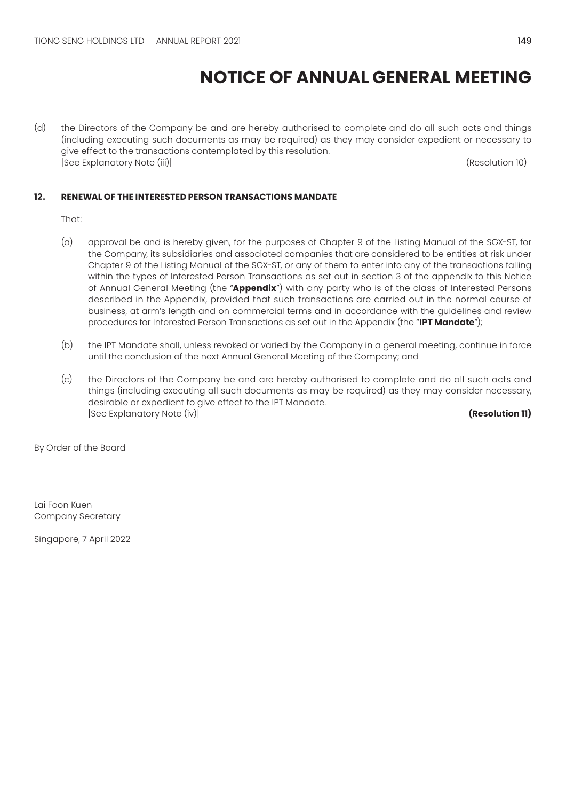(d) the Directors of the Company be and are hereby authorised to complete and do all such acts and things (including executing such documents as may be required) as they may consider expedient or necessary to give effect to the transactions contemplated by this resolution. [See Explanatory Note (iii)] (Resolution 10)

## **12. RENEWAL OF THE INTERESTED PERSON TRANSACTIONS MANDATE**

That:

- (a) approval be and is hereby given, for the purposes of Chapter 9 of the Listing Manual of the SGX-ST, for the Company, its subsidiaries and associated companies that are considered to be entities at risk under Chapter 9 of the Listing Manual of the SGX-ST, or any of them to enter into any of the transactions falling within the types of Interested Person Transactions as set out in section 3 of the appendix to this Notice of Annual General Meeting (the "**Appendix**") with any party who is of the class of Interested Persons described in the Appendix, provided that such transactions are carried out in the normal course of business, at arm's length and on commercial terms and in accordance with the guidelines and review procedures for Interested Person Transactions as set out in the Appendix (the "**IPT Mandate**");
- (b) the IPT Mandate shall, unless revoked or varied by the Company in a general meeting, continue in force until the conclusion of the next Annual General Meeting of the Company; and
- (c) the Directors of the Company be and are hereby authorised to complete and do all such acts and things (including executing all such documents as may be required) as they may consider necessary, desirable or expedient to give effect to the IPT Mandate. [See Explanatory Note (iv)] **(Resolution 11)**

By Order of the Board

Lai Foon Kuen Company Secretary

Singapore, 7 April 2022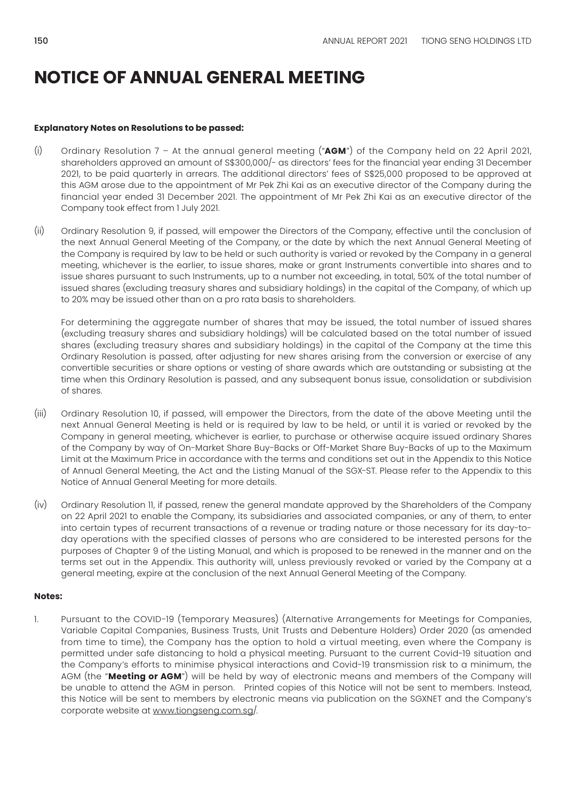### **Explanatory Notes on Resolutions to be passed:**

- (i) Ordinary Resolution 7 At the annual general meeting ("**AGM**") of the Company held on 22 April 2021, shareholders approved an amount of S\$300,000/- as directors' fees for the financial year ending 31 December 2021, to be paid quarterly in arrears. The additional directors' fees of S\$25,000 proposed to be approved at this AGM arose due to the appointment of Mr Pek Zhi Kai as an executive director of the Company during the financial year ended 31 December 2021. The appointment of Mr Pek Zhi Kai as an executive director of the Company took effect from 1 July 2021.
- (ii) Ordinary Resolution 9, if passed, will empower the Directors of the Company, effective until the conclusion of the next Annual General Meeting of the Company, or the date by which the next Annual General Meeting of the Company is required by law to be held or such authority is varied or revoked by the Company in a general meeting, whichever is the earlier, to issue shares, make or grant Instruments convertible into shares and to issue shares pursuant to such Instruments, up to a number not exceeding, in total, 50% of the total number of issued shares (excluding treasury shares and subsidiary holdings) in the capital of the Company, of which up to 20% may be issued other than on a pro rata basis to shareholders.

For determining the aggregate number of shares that may be issued, the total number of issued shares (excluding treasury shares and subsidiary holdings) will be calculated based on the total number of issued shares (excluding treasury shares and subsidiary holdings) in the capital of the Company at the time this Ordinary Resolution is passed, after adjusting for new shares arising from the conversion or exercise of any convertible securities or share options or vesting of share awards which are outstanding or subsisting at the time when this Ordinary Resolution is passed, and any subsequent bonus issue, consolidation or subdivision of shares.

- (iii) Ordinary Resolution 10, if passed, will empower the Directors, from the date of the above Meeting until the next Annual General Meeting is held or is required by law to be held, or until it is varied or revoked by the Company in general meeting, whichever is earlier, to purchase or otherwise acquire issued ordinary Shares of the Company by way of On-Market Share Buy-Backs or Off-Market Share Buy-Backs of up to the Maximum Limit at the Maximum Price in accordance with the terms and conditions set out in the Appendix to this Notice of Annual General Meeting, the Act and the Listing Manual of the SGX-ST. Please refer to the Appendix to this Notice of Annual General Meeting for more details.
- (iv) Ordinary Resolution 11, if passed, renew the general mandate approved by the Shareholders of the Company on 22 April 2021 to enable the Company, its subsidiaries and associated companies, or any of them, to enter into certain types of recurrent transactions of a revenue or trading nature or those necessary for its day-today operations with the specified classes of persons who are considered to be interested persons for the purposes of Chapter 9 of the Listing Manual, and which is proposed to be renewed in the manner and on the terms set out in the Appendix. This authority will, unless previously revoked or varied by the Company at a general meeting, expire at the conclusion of the next Annual General Meeting of the Company.

#### **Notes:**

1. Pursuant to the COVID-19 (Temporary Measures) (Alternative Arrangements for Meetings for Companies, Variable Capital Companies, Business Trusts, Unit Trusts and Debenture Holders) Order 2020 (as amended from time to time), the Company has the option to hold a virtual meeting, even where the Company is permitted under safe distancing to hold a physical meeting. Pursuant to the current Covid-19 situation and the Company's efforts to minimise physical interactions and Covid-19 transmission risk to a minimum, the AGM (the "**Meeting or AGM**") will be held by way of electronic means and members of the Company will be unable to attend the AGM in person. Printed copies of this Notice will not be sent to members. Instead, this Notice will be sent to members by electronic means via publication on the SGXNET and the Company's corporate website at www.tiongseng.com.sg/.